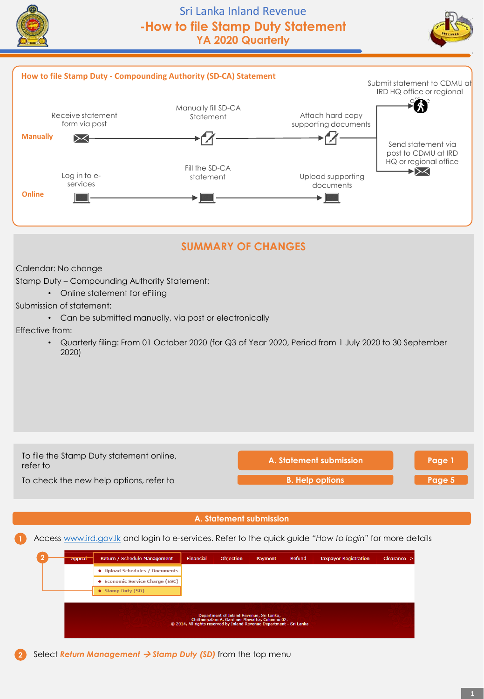





# **SUMMARY OF CHANGES**

Calendar: No change

Stamp Duty – Compounding Authority Statement:

• Online statement for eFiling

Submission of statement:

• Can be submitted manually, via post or electronically

Effective from:

• Quarterly filing: From 01 October 2020 (for Q3 of Year 2020, Period from 1 July 2020 to 30 September 2020)



## **A. Statement submission**

**1** Access [www.ird.gov.lk](http://www.ird.gov.lk/) and login to e-services. Refer to the quick guide *"How to login"* for more details

| Appeal | Return / Schedule Management    | Financial | Objection                                                                                                                                                         | Payment | Refund | <b>Taxpayer Registration</b> | $Clearance$ > |
|--------|---------------------------------|-----------|-------------------------------------------------------------------------------------------------------------------------------------------------------------------|---------|--------|------------------------------|---------------|
|        | ♦ Upload Schedules / Documents  |           |                                                                                                                                                                   |         |        |                              |               |
|        | ♦ Economic Service Charge (ESC) |           |                                                                                                                                                                   |         |        |                              |               |
|        | ♦ Stamp Duty (SD)               |           |                                                                                                                                                                   |         |        |                              |               |
|        |                                 |           | Department of Inland Revenue, Sri Lanka,<br>Chittampalam A. Gardiner Mawatha, Colombo 02.<br>© 2014, All rights reserved by Inland Revenue Department - Sri Lanka |         |        |                              |               |

**2** Select *Return Management* → *Stamp Duty (SD)* from the top menu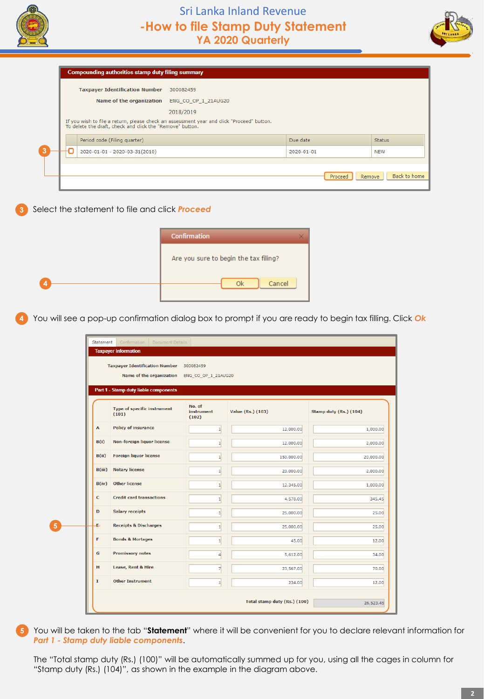

**3**



| <b>Taxpayer Identification Number</b>                     | 300082459                                                                                 |            |               |
|-----------------------------------------------------------|-------------------------------------------------------------------------------------------|------------|---------------|
| Name of the organization                                  | ENG CO OP 1 21AUG20                                                                       |            |               |
|                                                           | 2018/2019                                                                                 |            |               |
| To delete the draft, check and click the "Remove" button. | If you wish to file a return, please check an assessment year and click "Proceed" button. |            |               |
|                                                           |                                                                                           |            |               |
| Period code (Filing quarter)                              |                                                                                           | Due date   | <b>Status</b> |
| 2020-01-01 - 2020-03-31(2010)                             |                                                                                           | 2020-01-01 | <b>NEW</b>    |
|                                                           |                                                                                           |            |               |

### **3** Select the statement to file and click *Proceed*

|                | <b>Confirmation</b>                   |
|----------------|---------------------------------------|
|                | Are you sure to begin the tax filing? |
| $\overline{4}$ | Cancel<br>Ok                          |

**4** You will see a pop-up confirmation dialog box to prompt if you are ready to begin tax filling. Click *Ok*

|              |        | <b>Taxpayer Identification Number</b><br>Name of the organization ENG_CO_OP_1_21AUG20 | 300082459                            |                          |                        |
|--------------|--------|---------------------------------------------------------------------------------------|--------------------------------------|--------------------------|------------------------|
|              |        | Part 1 - Stamp duty liable components<br><b>Type of specific instrument</b><br>(101)  | No. of<br><b>instrument</b><br>(102) | <b>Value (Rs.) (103)</b> | Stamp duty (Rs.) (104) |
| $\mathbf{A}$ |        | <b>Policy of insurance</b>                                                            | $\mathbf{1}$                         | 12,000.00                | 1,000.00               |
|              | B(i)   | Non-foreign liquor license                                                            | $\mathbf{1}$                         | 12,000.00                | 2,000.00               |
|              | B(ii)  | <b>Foreign liquor license</b>                                                         | $\mathbf{1}$                         | 150,000.00               | 20,000.00              |
|              | B(iii) | <b>Notary license</b>                                                                 | $\mathbf{1}$                         | 23,000.00                | 2,000.00               |
|              | B(iv)  | <b>Other license</b>                                                                  | $\mathbf{1}$                         | 12,345.00                | 1,000.00               |
| $\mathbf{C}$ |        | <b>Credit card transactions</b>                                                       | $\mathbf{1}$                         | 4,578.00                 | 345.45                 |
| D            |        | <b>Salary receipts</b>                                                                | $\mathbf{1}$                         | 25,000.00                | 25.00                  |
| Ę.           |        | <b>Receipts &amp; Discharges</b>                                                      | $\mathbf{1}$                         | 25,000.00                | 25.00                  |
| F            |        | <b>Bonds &amp; Mortages</b>                                                           | $\mathbf{1}$                         | 45.00                    | 12.00                  |
| G            |        | <b>Promissory notes</b>                                                               | $\overline{4}$                       | 5,612.00                 | 34.00                  |
| H            |        | Lease, Rent & Hire                                                                    | $\overline{7}$                       | 23,567.00                | 70.00                  |
| $\mathbf I$  |        | <b>Other Instrument</b>                                                               | $\mathbf{1}$                         | 234.00                   | 12.00                  |

**5** You will be taken to the tab "**Statement**" where it will be convenient for you to declare relevant information for *Part 1 - Stamp duty liable components*.

The "Total stamp duty (Rs.) (100)" will be automatically summed up for you, using all the cages in column for "Stamp duty (Rs.) (104)", as shown in the example in the diagram above.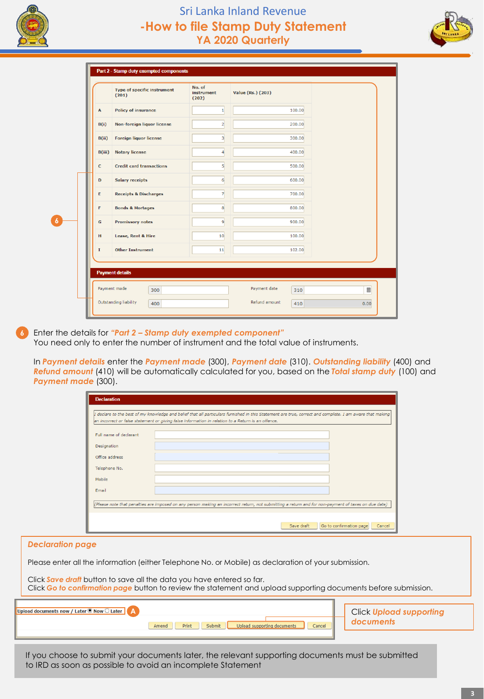

# Sri Lanka Inland Revenue **-How to file Stamp Duty Statement YA 2020 Quarterly**



|               | <b>Type of specific instrument</b><br>(201) | No. of<br>instrument<br>(202) | <b>Value (Rs.) (203)</b> |            |
|---------------|---------------------------------------------|-------------------------------|--------------------------|------------|
| Α             | <b>Policy of insurance</b>                  | $\mathbf{1}$                  | 100.00                   |            |
| B(i)          | Non-foreign liquor license                  | $\overline{2}$                | 200.00                   |            |
| B(ii)         | <b>Foreign liquor license</b>               | $\overline{\mathbf{3}}$       | 300.00                   |            |
| B(iii)        | <b>Notary license</b>                       | $\overline{4}$                | 400.00                   |            |
| $\mathbf{C}$  | <b>Credit card transactions</b>             | 5 <sup>1</sup>                | 500.00                   |            |
| D             | <b>Salary receipts</b>                      | $6 \overline{6}$              | 600.00                   |            |
| E             | <b>Receipts &amp; Discharges</b>            | $\overline{7}$                | 700.00                   |            |
| F             | <b>Bonds &amp; Mortages</b>                 | 8                             | 800.00                   |            |
| ${\mathsf G}$ | <b>Promissory notes</b>                     | 9                             | 900.00                   |            |
| H             | Lease, Rent & Hire                          | 10                            | 100.00                   |            |
| $\mathbf I$   | <b>Other Instrument</b>                     | 11                            | 102.00                   |            |
|               |                                             |                               |                          |            |
|               | <b>Payment details</b>                      |                               |                          |            |
|               | Payment made<br>300                         |                               | Payment date<br>310      | <b>iii</b> |

**6** Enter the details for *"Part 2 – Stamp duty exempted component"* You need only to enter the number of instrument and the total value of instruments.

In *Payment details* enter the *Payment made* (300), *Payment date* (310). *Outstanding liability* (400) and *Refund amount* (410) will be automatically calculated for you, based on the *Total stamp duty* (100) and *Payment made* (300).

|                         | <b>Declaration</b>            |                                                                                                                                                                                                                                                                |  |
|-------------------------|-------------------------------|----------------------------------------------------------------------------------------------------------------------------------------------------------------------------------------------------------------------------------------------------------------|--|
|                         |                               | I declare to the best of my knowledge and belief that all particulars furnished in this Statement are true, correct and complete. I am aware that making<br>an incorrect or false statement or giving false information in relation to a Return is an offence. |  |
|                         | Full name of declarant        |                                                                                                                                                                                                                                                                |  |
|                         | Designation<br>Office address |                                                                                                                                                                                                                                                                |  |
|                         | Telephone No.                 |                                                                                                                                                                                                                                                                |  |
|                         | Mobile<br>Email               |                                                                                                                                                                                                                                                                |  |
|                         |                               | (Please note that penalties are imposed on any person making an incorrect return, not submitting a return and for non-payment of taxes on due date)                                                                                                            |  |
|                         |                               |                                                                                                                                                                                                                                                                |  |
|                         |                               | Save draft<br>Go to confirmation page<br>Cancel                                                                                                                                                                                                                |  |
|                         |                               |                                                                                                                                                                                                                                                                |  |
|                         |                               | Please enter all the information (either Telephone No. or Mobile) as declaration of your submission.                                                                                                                                                           |  |
| <b>Declaration page</b> |                               | Click Save draft button to save all the data you have entered so far.<br>Click Go to confirmation page button to review the statement and upload supporting documents before submission.                                                                       |  |

If you choose to submit your documents later, the relevant supporting documents must be submitted to IRD as soon as possible to avoid an incomplete Statement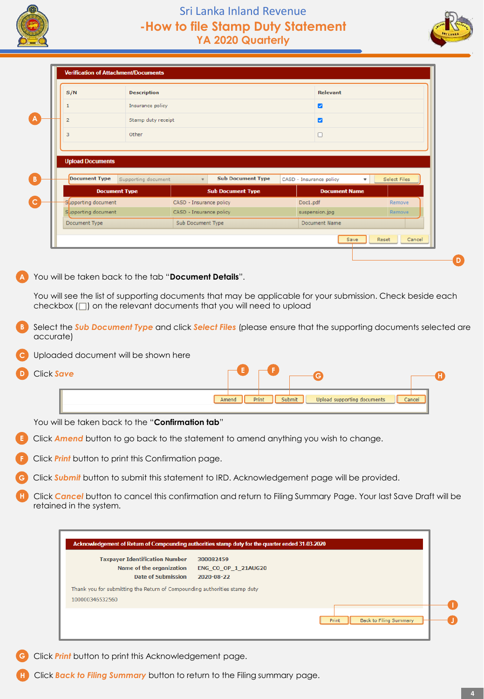

# Sri Lanka Inland Revenue **-How to file Stamp Duty Statement YA 2020 Quarterly**



| Insurance policy<br>$\overline{\mathbf{z}}$<br>Stamp duty receipt<br>$\overline{2}$<br>$\overline{a}$<br>$\Box$<br>Other<br>3 |        |
|-------------------------------------------------------------------------------------------------------------------------------|--------|
|                                                                                                                               |        |
|                                                                                                                               |        |
|                                                                                                                               |        |
| <b>Document Type</b><br><b>Sub Document Type</b><br><b>Document Name</b>                                                      |        |
| Supporting document<br>CASD - Insurance policy<br>Doc1.pdf                                                                    | Remove |
|                                                                                                                               | Remove |
| Supporting document<br>CASD - Insurance policy<br>suspension.jpg                                                              |        |

**A** You will be taken back to the tab "**Document Details**".

You will see the list of supporting documents that may be applicable for your submission. Check beside each  $checkbox ( \Box )$  on the relevant documents that you will need to upload

**B** Select the *Sub Document Type* and click *Select Files* (please ensure that the supporting documents selected are accurate)

**C** Uploaded document will be shown here



| ave |       |       |                                       |        |
|-----|-------|-------|---------------------------------------|--------|
|     | Amend | Print | Upload supporting documents<br>Submit | Cancel |

You will be taken back to the "**Confirmation tab**"

**E** Click *Amend* button to go back to the statement to amend anything you wish to change.

**F** Click *Print* button to print this Confirmation page.

**G** Click *Submit* button to submit this statement to IRD. Acknowledgement page will be provided.

**H** Click *Cancel* button to cancel this confirmation and return to Filing Summary Page. Your last Save Draft will be retained in the system.

| <b>Taxpayer Identification Number</b><br>Name of the organization<br>Date of Submission      | 300082459<br><b>ENG CO OP 1 21AUG20</b><br>2020-08-22 |  |
|----------------------------------------------------------------------------------------------|-------------------------------------------------------|--|
| Thank you for submitting the Return of Compounding authorities stamp duty<br>100000346532560 |                                                       |  |

**G** Click *Print* button to print this Acknowledgement page.

**H** Click *Back to Filing Summary* button to return to the Filing summary page.